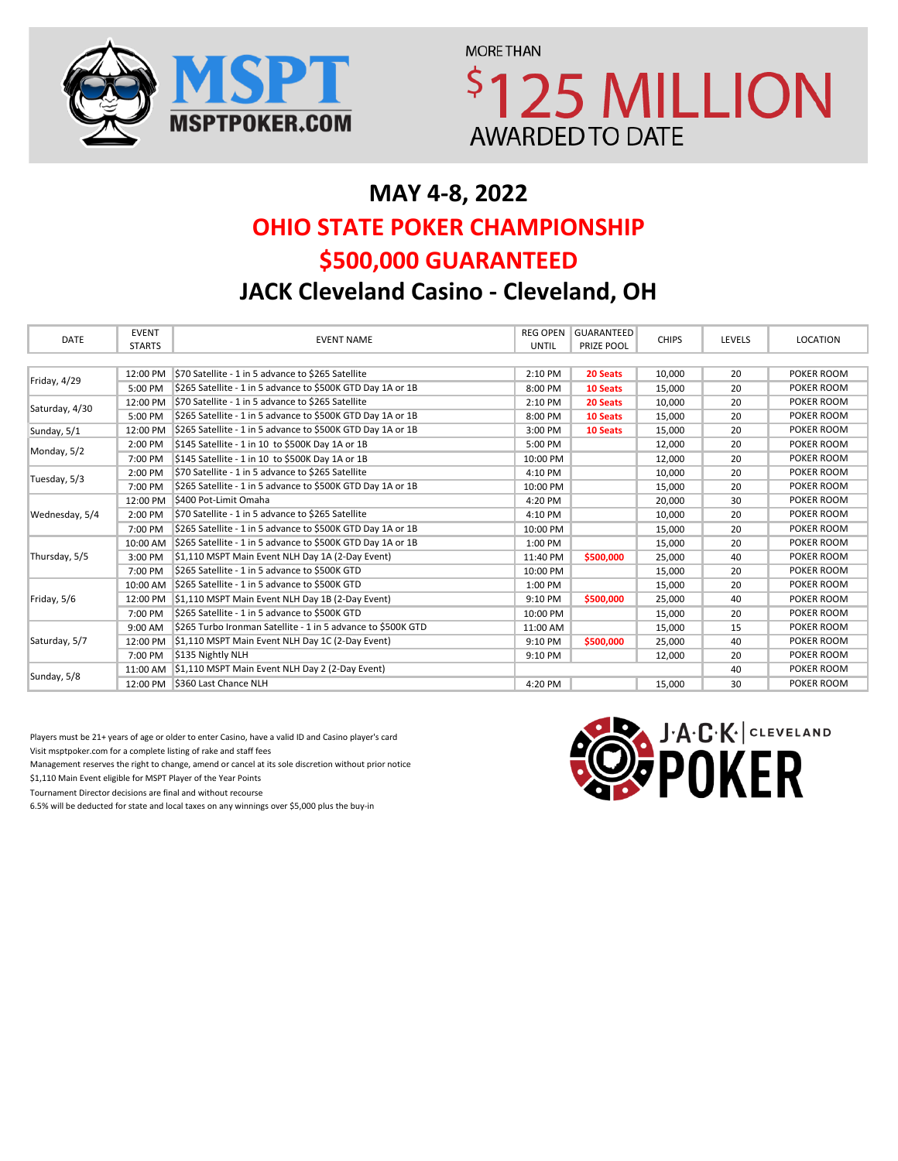

**MORE THAN** \$125 MILLION **AWARDED TO DATE** 

# **MAY 4-8, 2022 \$500,000 GUARANTEED OHIO STATE POKER CHAMPIONSHIP**

**JACK Cleveland Casino - Cleveland, OH**

| DATE           | <b>EVENT</b><br><b>STARTS</b> | <b>EVENT NAME</b>                                            | <b>REG OPEN</b><br><b>UNTIL</b> | <b>GUARANTEED</b><br>PRIZE POOL | <b>CHIPS</b> | LEVELS | LOCATION   |
|----------------|-------------------------------|--------------------------------------------------------------|---------------------------------|---------------------------------|--------------|--------|------------|
|                |                               |                                                              |                                 |                                 |              |        |            |
|                | 12:00 PM                      | \$70 Satellite - 1 in 5 advance to \$265 Satellite           | 2:10 PM                         | 20 Seats                        | 10,000       | 20     | POKER ROOM |
| Friday, 4/29   | 5:00 PM                       | \$265 Satellite - 1 in 5 advance to \$500K GTD Day 1A or 1B  | 8:00 PM                         | <b>10 Seats</b>                 | 15,000       | 20     | POKER ROOM |
| Saturday, 4/30 | 12:00 PM                      | \$70 Satellite - 1 in 5 advance to \$265 Satellite           | 2:10 PM                         | 20 Seats                        | 10,000       | 20     | POKER ROOM |
|                | 5:00 PM                       | \$265 Satellite - 1 in 5 advance to \$500K GTD Day 1A or 1B  | 8:00 PM                         | 10 Seats                        | 15,000       | 20     | POKER ROOM |
| Sunday, 5/1    | 12:00 PM                      | \$265 Satellite - 1 in 5 advance to \$500K GTD Day 1A or 1B  | 3:00 PM                         | 10 Seats                        | 15,000       | 20     | POKER ROOM |
| Monday, 5/2    | 2:00 PM                       | \$145 Satellite - 1 in 10 to \$500K Day 1A or 1B             | 5:00 PM                         |                                 | 12,000       | 20     | POKER ROOM |
|                | 7:00 PM                       | \$145 Satellite - 1 in 10 to \$500K Day 1A or 1B             | 10:00 PM                        |                                 | 12,000       | 20     | POKER ROOM |
| Tuesday, 5/3   | 2:00 PM                       | \$70 Satellite - 1 in 5 advance to \$265 Satellite           | 4:10 PM                         |                                 | 10,000       | 20     | POKER ROOM |
|                | 7:00 PM                       | \$265 Satellite - 1 in 5 advance to \$500K GTD Day 1A or 1B  | 10:00 PM                        |                                 | 15,000       | 20     | POKER ROOM |
|                | 12:00 PM                      | \$400 Pot-Limit Omaha                                        | 4:20 PM                         |                                 | 20,000       | 30     | POKER ROOM |
| Wednesday, 5/4 | 2:00 PM                       | \$70 Satellite - 1 in 5 advance to \$265 Satellite           | 4:10 PM                         |                                 | 10,000       | 20     | POKER ROOM |
|                | 7:00 PM                       | \$265 Satellite - 1 in 5 advance to \$500K GTD Day 1A or 1B  | 10:00 PM                        |                                 | 15,000       | 20     | POKER ROOM |
|                | 10:00 AM                      | \$265 Satellite - 1 in 5 advance to \$500K GTD Day 1A or 1B  | 1:00 PM                         |                                 | 15,000       | 20     | POKER ROOM |
| Thursday, 5/5  | 3:00 PM                       | \$1,110 MSPT Main Event NLH Day 1A (2-Day Event)             | 11:40 PM                        | \$500,000                       | 25,000       | 40     | POKER ROOM |
|                | 7:00 PM                       | \$265 Satellite - 1 in 5 advance to \$500K GTD               | 10:00 PM                        |                                 | 15,000       | 20     | POKER ROOM |
|                | 10:00 AM                      | \$265 Satellite - 1 in 5 advance to \$500K GTD               | 1:00 PM                         |                                 | 15,000       | 20     | POKER ROOM |
| Friday, 5/6    | 12:00 PM                      | \$1,110 MSPT Main Event NLH Day 1B (2-Day Event)             | 9:10 PM                         | \$500,000                       | 25,000       | 40     | POKER ROOM |
|                | 7:00 PM                       | \$265 Satellite - 1 in 5 advance to \$500K GTD               | 10:00 PM                        |                                 | 15,000       | 20     | POKER ROOM |
| Saturday, 5/7  | 9:00 AM                       | \$265 Turbo Ironman Satellite - 1 in 5 advance to \$500K GTD | 11:00 AM                        |                                 | 15,000       | 15     | POKER ROOM |
|                | 12:00 PM                      | \$1,110 MSPT Main Event NLH Day 1C (2-Day Event)             | 9:10 PM                         | \$500,000                       | 25,000       | 40     | POKER ROOM |
|                | 7:00 PM                       | \$135 Nightly NLH                                            | 9:10 PM                         |                                 | 12,000       | 20     | POKER ROOM |
|                |                               | 11:00 AM \$1,110 MSPT Main Event NLH Day 2 (2-Day Event)     |                                 |                                 |              | 40     | POKER ROOM |
| Sunday, 5/8    |                               | 12:00 PM \$360 Last Chance NLH                               | 4:20 PM                         |                                 | 15,000       | 30     | POKER ROOM |

Players must be 21+ years of age or older to enter Casino, have a valid ID and Casino player's card Visit msptpoker.com for a complete listing of rake and staff fees

Management reserves the right to change, amend or cancel at its sole discretion without prior notice

\$1,110 Main Event eligible for MSPT Player of the Year Points

Tournament Director decisions are final and without recourse

6.5% will be deducted for state and local taxes on any winnings over \$5,000 plus the buy-in

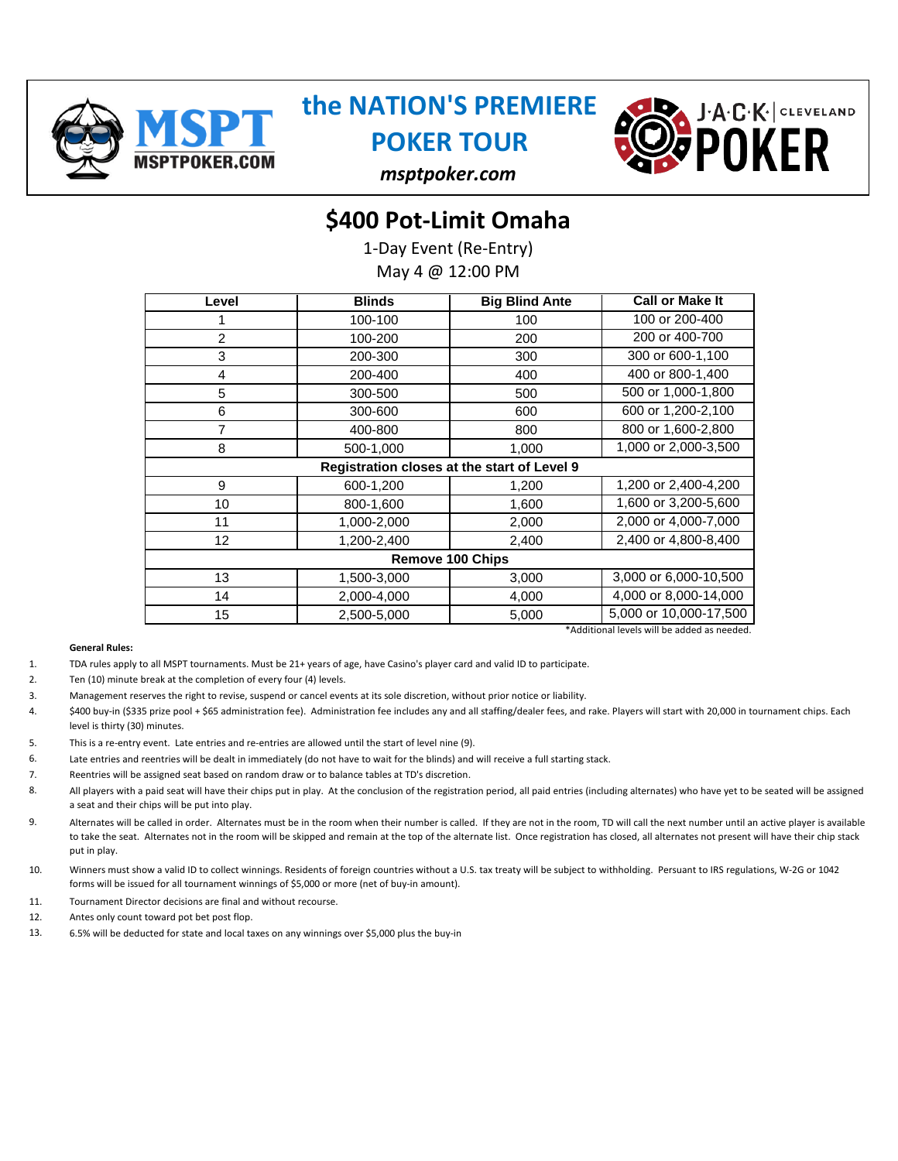

# **the NATION'S PREMIERE**

**POKER TOUR**



*msptpoker.com*

### **\$400 Pot-Limit Omaha**

1-Day Event (Re-Entry)

May 4 @ 12:00 PM

| Level | <b>Blinds</b>                               | <b>Big Blind Ante</b> | <b>Call or Make It</b> |  |  |
|-------|---------------------------------------------|-----------------------|------------------------|--|--|
|       | 100-100                                     | 100                   | 100 or 200-400         |  |  |
| 2     | 100-200                                     | 200                   | 200 or 400-700         |  |  |
| 3     | 200-300                                     | 300                   | 300 or 600-1,100       |  |  |
| 4     | 200-400                                     | 400                   | 400 or 800-1,400       |  |  |
| 5     | 300-500                                     | 500                   | 500 or 1,000-1,800     |  |  |
| 6     | 300-600                                     | 600                   | 600 or 1,200-2,100     |  |  |
| 7     | 400-800                                     | 800                   | 800 or 1,600-2,800     |  |  |
| 8     | 500-1,000                                   | 1,000                 | 1,000 or 2,000-3,500   |  |  |
|       | Registration closes at the start of Level 9 |                       |                        |  |  |
| 9     | 600-1,200                                   | 1,200                 | 1,200 or 2,400-4,200   |  |  |
| 10    | 800-1,600                                   | 1,600                 | 1,600 or 3,200-5,600   |  |  |
| 11    | 1,000-2,000                                 | 2,000                 | 2,000 or 4,000-7,000   |  |  |
| 12    | 1,200-2,400                                 | 2,400                 | 2,400 or 4,800-8,400   |  |  |
|       | <b>Remove 100 Chips</b>                     |                       |                        |  |  |
| 13    | 1,500-3,000                                 | 3,000                 | 3,000 or 6,000-10,500  |  |  |
| 14    | 2,000-4,000                                 | 4,000                 | 4,000 or 8,000-14,000  |  |  |
| 15    | 2,500-5,000                                 | 5,000                 | 5,000 or 10,000-17,500 |  |  |
|       | *Additional levels will be added as needed. |                       |                        |  |  |

- 1. TDA rules apply to all MSPT tournaments. Must be 21+ years of age, have Casino's player card and valid ID to participate.
- $\overline{2}$ Ten (10) minute break at the completion of every four (4) levels.
- 3. Management reserves the right to revise, suspend or cancel events at its sole discretion, without prior notice or liability.
- 4. \$400 buy-in (\$335 prize pool + \$65 administration fee). Administration fee includes any and all staffing/dealer fees, and rake. Players will start with 20,000 in tournament chips. Each level is thirty (30) minutes.
- 5. This is a re-entry event. Late entries and re-entries are allowed until the start of level nine (9).
- 6. Late entries and reentries will be dealt in immediately (do not have to wait for the blinds) and will receive a full starting stack.
- 7. Reentries will be assigned seat based on random draw or to balance tables at TD's discretion.
- 8. All players with a paid seat will have their chips put in play. At the conclusion of the registration period, all paid entries (including alternates) who have yet to be seated will be assigned a seat and their chips will be put into play.
- 9. Alternates will be called in order. Alternates must be in the room when their number is called. If they are not in the room, TD will call the next number until an active player is available to take the seat. Alternates not in the room will be skipped and remain at the top of the alternate list. Once registration has closed, all alternates not present will have their chip stack put in play.
- 10. Winners must show a valid ID to collect winnings. Residents of foreign countries without a U.S. tax treaty will be subject to withholding. Persuant to IRS regulations, W-2G or 1042 forms will be issued for all tournament winnings of \$5,000 or more (net of buy-in amount).
- 11. Tournament Director decisions are final and without recourse.
- 12. Antes only count toward pot bet post flop.
- 13. 6.5% will be deducted for state and local taxes on any winnings over \$5,000 plus the buy-in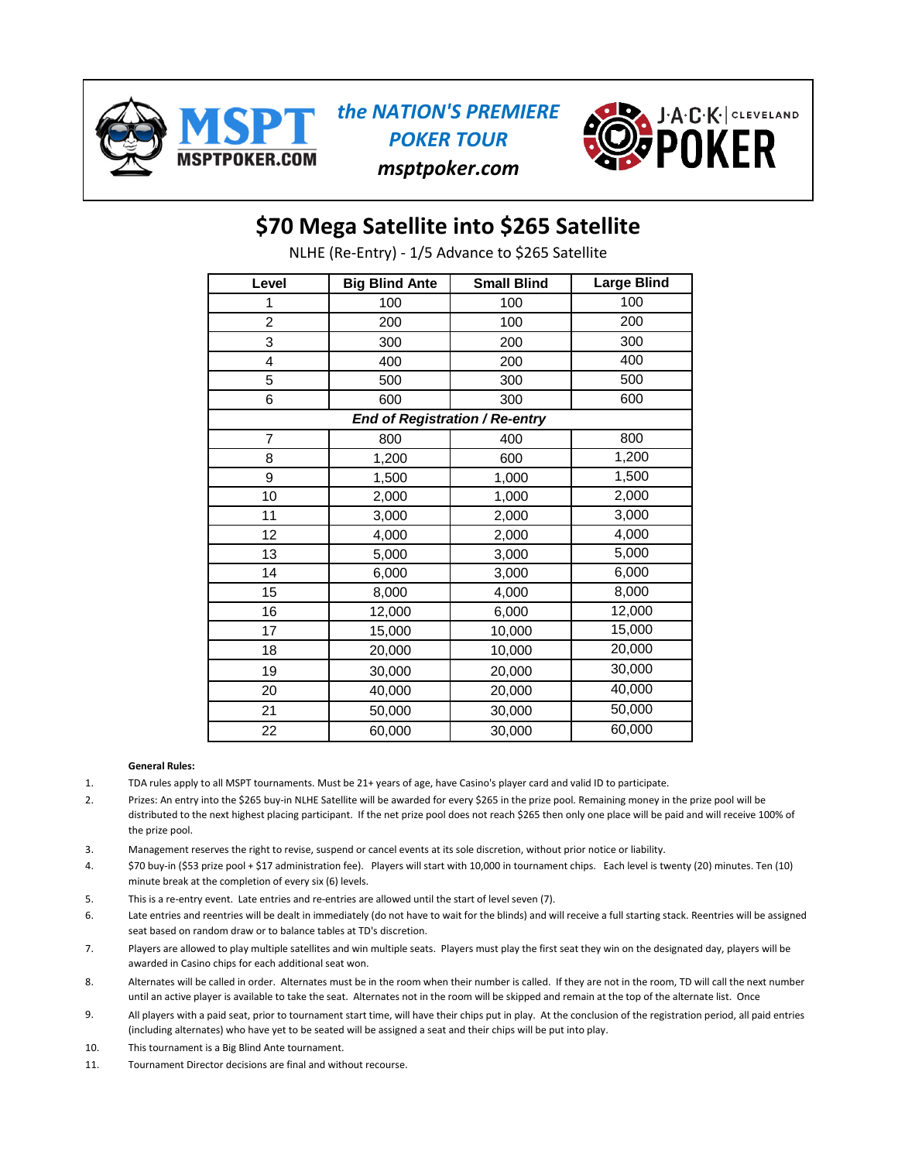

### *the NATION'S PREMIERE POKER TOUR*

*msptpoker.com*



### **\$70 Mega Satellite into \$265 Satellite**

NLHE (Re-Entry) - 1/5 Advance to \$265 Satellite

| Level          | <b>Big Blind Ante</b> | <b>Small Blind</b>             | <b>Large Blind</b> |
|----------------|-----------------------|--------------------------------|--------------------|
| 1              | 100                   | 100                            | 100                |
| $\overline{2}$ | 200                   | 100                            | 200                |
| 3              | 300                   | 200                            | 300                |
| 4              | 400                   | 200                            | 400                |
| 5              | 500                   | 300                            | 500                |
| 6              | 600                   | 300                            | 600                |
|                |                       | End of Registration / Re-entry |                    |
| $\overline{7}$ | 800                   | 400                            | 800                |
| 8              | 1,200                 | 600                            | 1,200              |
| 9              | 1,500                 | 1,000                          | 1,500              |
| 10             | 2,000                 | 1,000                          | 2,000              |
| 11             | 3,000                 | 2,000                          | 3,000              |
| 12             | 4,000                 | 2,000                          | 4,000              |
| 13             | 5,000                 | 3,000                          | 5,000              |
| 14             | 6,000                 | 3,000                          | 6,000              |
| 15             | 8,000                 | 4,000                          | 8,000              |
| 16             | 12,000                | 6,000                          | 12,000             |
| 17             | 15,000                | 10,000                         | 15,000             |
| 18             | 20,000                | 10,000                         | 20,000             |
| 19             | 30,000                | 20,000                         | 30,000             |
| 20             | 40,000                | 20,000                         | 40,000             |
| 21             | 50,000                | 30,000                         | 50,000             |
| 22             | 60,000                | 30,000                         | 60,000             |

- 1. TDA rules apply to all MSPT tournaments. Must be 21+ years of age, have Casino's player card and valid ID to participate.
- 2. Prizes: An entry into the \$265 buy-in NLHE Satellite will be awarded for every \$265 in the prize pool. Remaining money in the prize pool will be distributed to the next highest placing participant. If the net prize pool does not reach \$265 then only one place will be paid and will receive 100% of the prize pool.
- 3. Management reserves the right to revise, suspend or cancel events at its sole discretion, without prior notice or liability.
- 4. \$70 buy-in (\$53 prize pool + \$17 administration fee). Players will start with 10,000 in tournament chips. Each level is twenty (20) minutes. Ten (10) minute break at the completion of every six (6) levels.
- 5. This is a re-entry event. Late entries and re-entries are allowed until the start of level seven (7).
- 6. Late entries and reentries will be dealt in immediately (do not have to wait for the blinds) and will receive a full starting stack. Reentries will be assigned seat based on random draw or to balance tables at TD's discretion.
- 7. Players are allowed to play multiple satellites and win multiple seats. Players must play the first seat they win on the designated day, players will be awarded in Casino chips for each additional seat won.
- 8. Alternates will be called in order. Alternates must be in the room when their number is called. If they are not in the room, TD will call the next number until an active player is available to take the seat. Alternates not in the room will be skipped and remain at the top of the alternate list. Once
- 9. All players with a paid seat, prior to tournament start time, will have their chips put in play. At the conclusion of the registration period, all paid entries (including alternates) who have yet to be seated will be assigned a seat and their chips will be put into play.
- 10. This tournament is a Big Blind Ante tournament.
- 11. Tournament Director decisions are final and without recourse.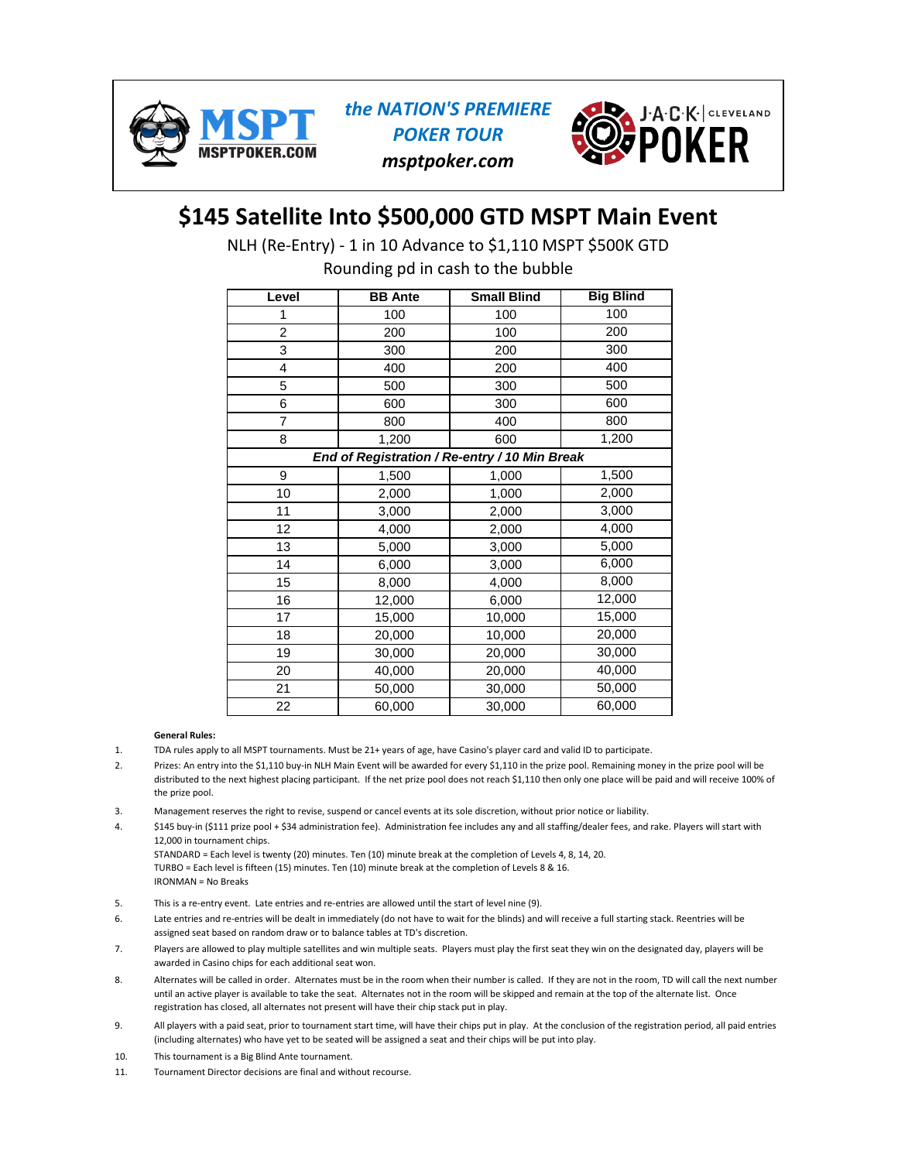

*the NATION'S PREMIERE POKER TOUR msptpoker.com*



## **\$145 Satellite Into \$500,000 GTD MSPT Main Event**

NLH (Re-Entry) - 1 in 10 Advance to \$1,110 MSPT \$500K GTD

Rounding pd in cash to the bubble

| Level          | <b>BB</b> Ante                                | <b>Small Blind</b> | <b>Big Blind</b> |
|----------------|-----------------------------------------------|--------------------|------------------|
|                | 100                                           | 100                | 100              |
| $\overline{2}$ | 200                                           | 100                | 200              |
| 3              | 300                                           | 200                | 300              |
| 4              | 400                                           | 200                | 400              |
| 5              | 500                                           | 300                | 500              |
| 6              | 600                                           | 300                | 600              |
| 7              | 800                                           | 400                | 800              |
| 8              | 1,200                                         | 600                | 1,200            |
|                | End of Registration / Re-entry / 10 Min Break |                    |                  |
| 9              | 1,500                                         | 1,000              | 1,500            |
| 10             | 2,000                                         | 1,000              | 2,000            |
| 11             | 3,000                                         | 2,000              | 3,000            |
| 12             | 4,000                                         | 2,000              | 4,000            |
| 13             | 5,000                                         | 3,000              | 5,000            |
| 14             | 6,000                                         | 3,000              | 6,000            |
| 15             | 8,000                                         | 4,000              | 8,000            |
| 16             | 12,000                                        | 6,000              | 12,000           |
| 17             | 15,000                                        | 10,000             | 15,000           |
| 18             | 20,000                                        | 10,000             | 20,000           |
| 19             | 30,000                                        | 20,000             | 30,000           |
| 20             | 40,000                                        | 20,000             | 40,000           |
| 21             | 50,000                                        | 30,000             | 50,000           |
| 22             | 60,000                                        | 30,000             | 60,000           |

- 1. TDA rules apply to all MSPT tournaments. Must be 21+ years of age, have Casino's player card and valid ID to participate.
- $\mathcal{L}$ Prizes: An entry into the \$1,110 buy-in NLH Main Event will be awarded for every \$1,110 in the prize pool. Remaining money in the prize pool will be distributed to the next highest placing participant. If the net prize pool does not reach \$1,110 then only one place will be paid and will receive 100% of the prize pool.
- 3. Management reserves the right to revise, suspend or cancel events at its sole discretion, without prior notice or liability.
- 4. \$145 buy-in (\$111 prize pool + \$34 administration fee). Administration fee includes any and all staffing/dealer fees, and rake. Players will start with 12,000 in tournament chips. STANDARD = Each level is twenty (20) minutes. Ten (10) minute break at the completion of Levels 4, 8, 14, 20. TURBO = Each level is fifteen (15) minutes. Ten (10) minute break at the completion of Levels 8 & 16. IRONMAN = No Breaks
- 5. This is a re-entry event. Late entries and re-entries are allowed until the start of level nine (9).
- 6. Late entries and re-entries will be dealt in immediately (do not have to wait for the blinds) and will receive a full starting stack. Reentries will be assigned seat based on random draw or to balance tables at TD's discretion.
- 7. Players are allowed to play multiple satellites and win multiple seats. Players must play the first seat they win on the designated day, players will be awarded in Casino chips for each additional seat won.
- 8. Alternates will be called in order. Alternates must be in the room when their number is called. If they are not in the room, TD will call the next number until an active player is available to take the seat. Alternates not in the room will be skipped and remain at the top of the alternate list. Once registration has closed, all alternates not present will have their chip stack put in play.
- 9. All players with a paid seat, prior to tournament start time, will have their chips put in play. At the conclusion of the registration period, all paid entries (including alternates) who have yet to be seated will be assigned a seat and their chips will be put into play.
- 10. This tournament is a Big Blind Ante tournament.
- 11. Tournament Director decisions are final and without recourse.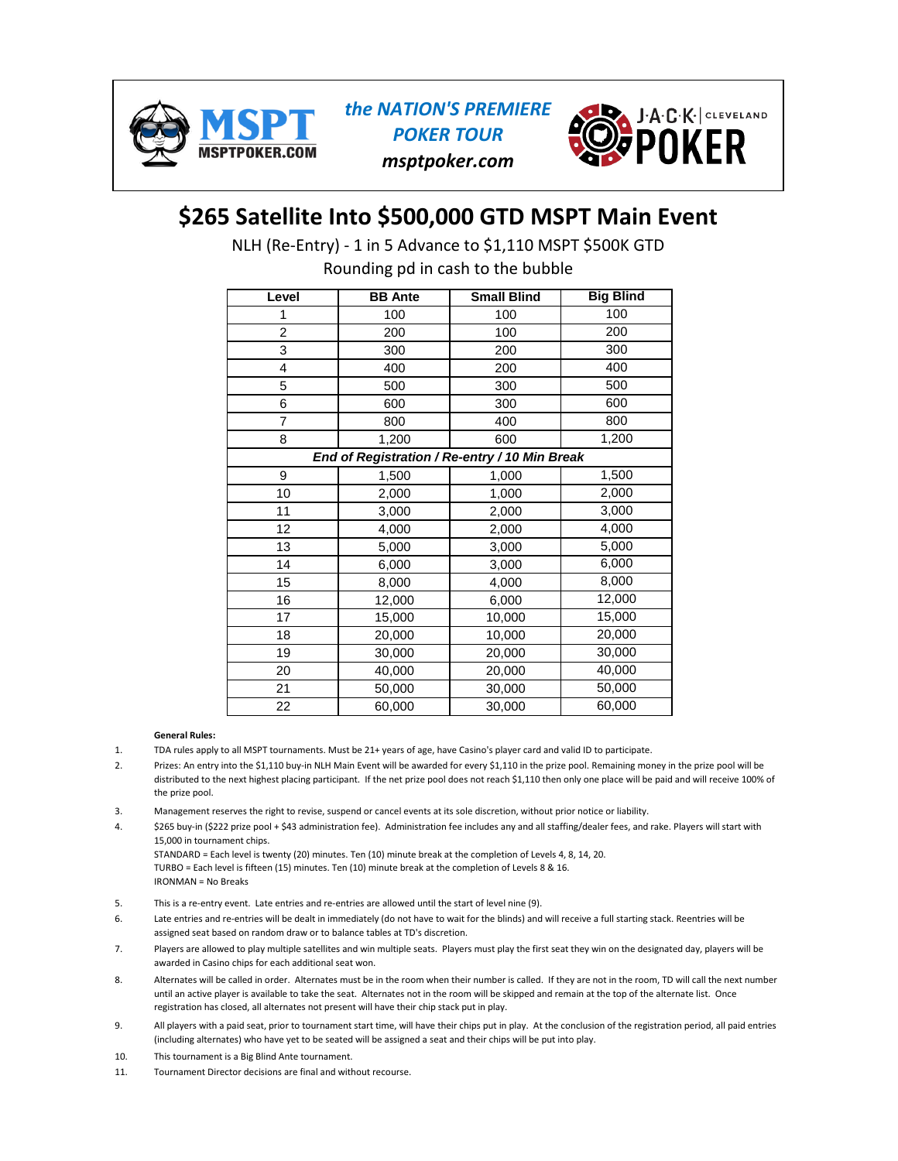

*the NATION'S PREMIERE POKER TOUR msptpoker.com*



## **\$265 Satellite Into \$500,000 GTD MSPT Main Event**

NLH (Re-Entry) - 1 in 5 Advance to \$1,110 MSPT \$500K GTD

Rounding pd in cash to the bubble

| Level          | <b>BB</b> Ante                                | <b>Small Blind</b> | <b>Big Blind</b> |
|----------------|-----------------------------------------------|--------------------|------------------|
| 1              | 100                                           | 100                | 100              |
| $\overline{2}$ | 200                                           | 100                | 200              |
| 3              | 300                                           | 200                | 300              |
| 4              | 400                                           | 200                | 400              |
| 5              | 500                                           | 300                | 500              |
| 6              | 600                                           | 300                | 600              |
| 7              | 800                                           | 400                | 800              |
| 8              | 1,200                                         | 600                | 1,200            |
|                | End of Registration / Re-entry / 10 Min Break |                    |                  |
| 9              | 1,500                                         | 1,000              | 1,500            |
| 10             | 2,000                                         | 1,000              | 2,000            |
| 11             | 3,000                                         | 2,000              | 3,000            |
| 12             | 4,000                                         | 2,000              | 4,000            |
| 13             | 5,000                                         | 3,000              | 5,000            |
| 14             | 6,000                                         | 3,000              | 6,000            |
| 15             | 8,000                                         | 4,000              | 8,000            |
| 16             | 12,000                                        | 6,000              | 12,000           |
| 17             | 15,000                                        | 10,000             | 15,000           |
| 18             | 20,000                                        | 10,000             | 20,000           |
| 19             | 30,000                                        | 20,000             | 30,000           |
| 20             | 40,000                                        | 20,000             | 40,000           |
| 21             | 50,000                                        | 30,000             | 50,000           |
| 22             | 60,000                                        | 30,000             | 60,000           |

- 1. TDA rules apply to all MSPT tournaments. Must be 21+ years of age, have Casino's player card and valid ID to participate.
- $\mathcal{L}$ Prizes: An entry into the \$1,110 buy-in NLH Main Event will be awarded for every \$1,110 in the prize pool. Remaining money in the prize pool will be distributed to the next highest placing participant. If the net prize pool does not reach \$1,110 then only one place will be paid and will receive 100% of the prize pool.
- 3. Management reserves the right to revise, suspend or cancel events at its sole discretion, without prior notice or liability.
- 4. \$265 buy-in (\$222 prize pool + \$43 administration fee). Administration fee includes any and all staffing/dealer fees, and rake. Players will start with 15,000 in tournament chips. STANDARD = Each level is twenty (20) minutes. Ten (10) minute break at the completion of Levels 4, 8, 14, 20.
	- TURBO = Each level is fifteen (15) minutes. Ten (10) minute break at the completion of Levels 8 & 16. IRONMAN = No Breaks
- 5. This is a re-entry event. Late entries and re-entries are allowed until the start of level nine (9).
- 6. Late entries and re-entries will be dealt in immediately (do not have to wait for the blinds) and will receive a full starting stack. Reentries will be assigned seat based on random draw or to balance tables at TD's discretion.
- 7. Players are allowed to play multiple satellites and win multiple seats. Players must play the first seat they win on the designated day, players will be awarded in Casino chips for each additional seat won.
- 8. Alternates will be called in order. Alternates must be in the room when their number is called. If they are not in the room, TD will call the next number until an active player is available to take the seat. Alternates not in the room will be skipped and remain at the top of the alternate list. Once registration has closed, all alternates not present will have their chip stack put in play.
- 9. All players with a paid seat, prior to tournament start time, will have their chips put in play. At the conclusion of the registration period, all paid entries (including alternates) who have yet to be seated will be assigned a seat and their chips will be put into play.
- 10. This tournament is a Big Blind Ante tournament.
- 11. Tournament Director decisions are final and without recourse.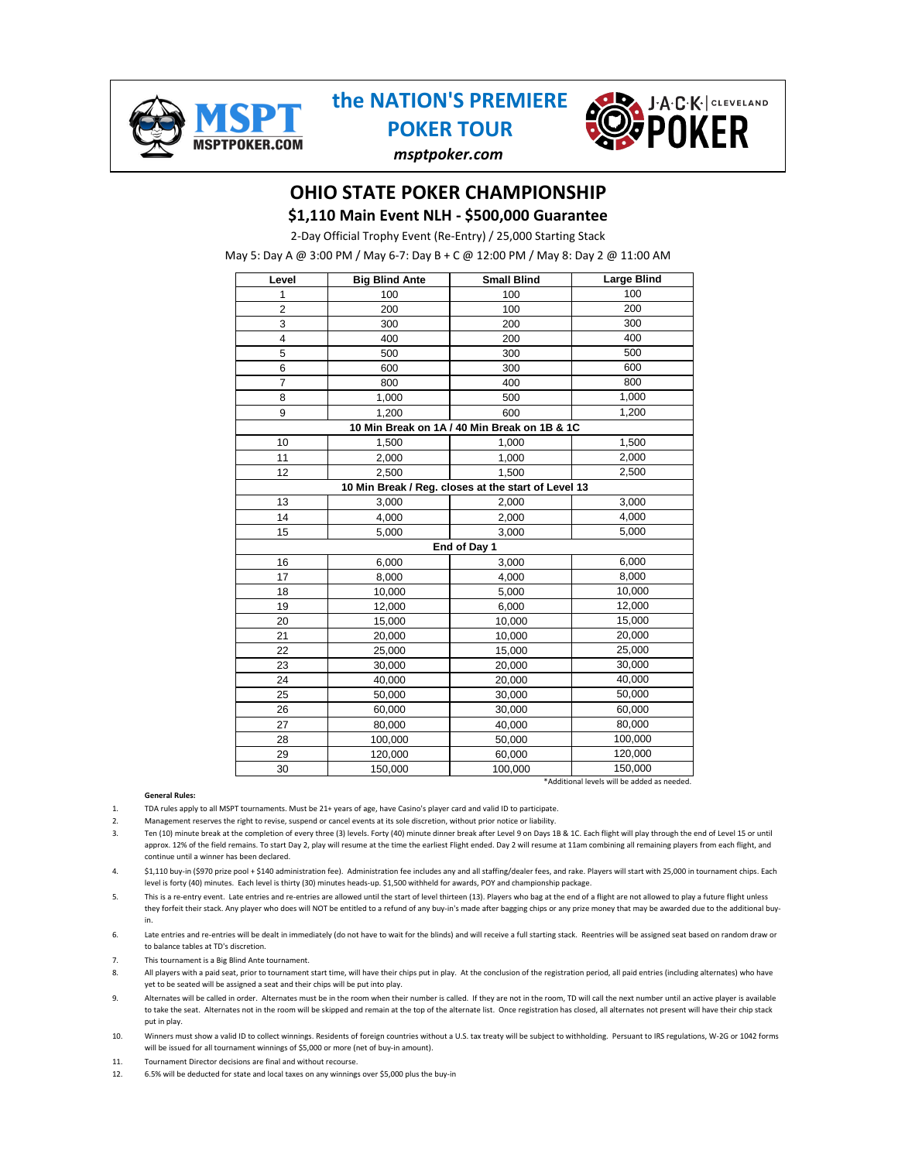

### **the NATION'S PREMIERE POKER TOUR**



*msptpoker.com*

### **OHIO STATE POKER CHAMPIONSHIP**

**\$1,110 Main Event NLH - \$500,000 Guarantee**

2-Day Official Trophy Event (Re-Entry) / 25,000 Starting Stack

May 5: Day A @ 3:00 PM / May 6-7: Day B + C @ 12:00 PM / May 8: Day 2 @ 11:00 AM

| Level                                               | <b>Big Blind Ante</b> | <b>Small Blind</b>                           | <b>Large Blind</b>                          |  |  |
|-----------------------------------------------------|-----------------------|----------------------------------------------|---------------------------------------------|--|--|
| 1                                                   | 100                   | 100                                          | 100                                         |  |  |
| $\overline{c}$                                      | 200                   | 100                                          | 200                                         |  |  |
| 3                                                   | 300                   | 200                                          | 300                                         |  |  |
| 4                                                   | 400                   | 200                                          | 400                                         |  |  |
| 5                                                   | 500                   | 300                                          | 500                                         |  |  |
| 6                                                   | 600                   | 300                                          | 600                                         |  |  |
| 7                                                   | 800                   | 400                                          | 800                                         |  |  |
| 8                                                   | 1,000                 | 500                                          | 1,000                                       |  |  |
| 9                                                   | 1,200                 | 600                                          | 1,200                                       |  |  |
|                                                     |                       | 10 Min Break on 1A / 40 Min Break on 1B & 1C |                                             |  |  |
| 10                                                  | 1,500                 | 1,000                                        | 1,500                                       |  |  |
| 11                                                  | 2,000                 | 1,000                                        | 2,000                                       |  |  |
| 12                                                  | 2,500                 | 1,500                                        | 2,500                                       |  |  |
| 10 Min Break / Reg. closes at the start of Level 13 |                       |                                              |                                             |  |  |
| 13                                                  | 3,000                 | 2,000                                        | 3,000                                       |  |  |
| 14                                                  | 4,000                 | 2,000                                        | 4,000                                       |  |  |
| 15                                                  | 5,000                 | 3,000                                        | 5,000                                       |  |  |
|                                                     | End of Day 1          |                                              |                                             |  |  |
| 16                                                  | 6,000                 | 3,000                                        | 6,000                                       |  |  |
| 17                                                  | 8,000                 | 4,000                                        | 8,000                                       |  |  |
| 18                                                  | 10,000                | 5,000                                        | 10,000                                      |  |  |
| 19                                                  | 12,000                | 6,000                                        | 12,000                                      |  |  |
| 20                                                  | 15,000                | 10,000                                       | 15,000                                      |  |  |
| 21                                                  | 20,000                | 10,000                                       | 20,000                                      |  |  |
| 22                                                  | 25,000                | 15,000                                       | 25,000                                      |  |  |
| 23                                                  | 30,000                | 20,000                                       | 30,000                                      |  |  |
| 24                                                  | 40,000                | 20,000                                       | 40,000                                      |  |  |
| 25                                                  | 50,000                | 30,000                                       | 50,000                                      |  |  |
| 26                                                  | 60,000                | 30,000                                       | 60,000                                      |  |  |
| 27                                                  | 80,000                | 40,000                                       | 80,000                                      |  |  |
| 28                                                  | 100,000               | 50,000                                       | 100,000                                     |  |  |
| 29                                                  | 120,000               | 60,000                                       | 120,000                                     |  |  |
| 30                                                  | 150,000               | 100,000                                      | 150,000                                     |  |  |
|                                                     |                       |                                              | *Additional levels will be added as needed. |  |  |

**General Rules:**

- 1. TDA rules apply to all MSPT tournaments. Must be 21+ years of age, have Casino's player card and valid ID to participate.
- 2. Management reserves the right to revise, suspend or cancel events at its sole discretion, without prior notice or liability.
- 3. Ten (10) minute break at the completion of every three (3) levels. Forty (40) minute dinner break after Level 9 on Days 1B & 1C. Each flight will play through the end of Level 15 or until approx. 12% of the field remains. To start Day 2, play will resume at the time the earliest Flight ended. Day 2 will resume at 11am combining all remaining players from each flight, and continue until a winner has been declared.

4. \$1,110 buy-in (\$970 prize pool + \$140 administration fee). Administration fee includes any and all staffing/dealer fees, and rake. Players will start with 25,000 in tournament chips. Each level is forty (40) minutes. Each level is thirty (30) minutes heads-up. \$1,500 withheld for awards, POY and championship package.

- 5. This is a re-entry event. Late entries and re-entries are allowed until the start of level thirteen (13). Players who bag at the end of a flight are not allowed to play a future flight unless they forfeit their stack. Any player who does will NOT be entitled to a refund of any buy-in's made after bagging chips or any prize money that may be awarded due to the additional buyin.
- 6. Late entries and re-entries will be dealt in immediately (do not have to wait for the blinds) and will receive a full starting stack. Reentries will be assigned seat based on random draw or to balance tables at TD's discretion.
- 7. This tournament is a Big Blind Ante tournament.
- 8. All players with a paid seat, prior to tournament start time, will have their chips put in play. At the conclusion of the registration period, all paid entries (including alternates) who have yet to be seated will be assigned a seat and their chips will be put into play.
- 9. Alternates will be called in order. Alternates must be in the room when their number is called. If they are not in the room, TD will call the next number until an active player is available to take the seat. Alternates not in the room will be skipped and remain at the top of the alternate list. Once registration has closed, all alternates not present will have their chip stack put in play.
- 10. Winners must show a valid ID to collect winnings. Residents of foreign countries without a U.S. tax treaty will be subject to withholding. Persuant to IRS regulations, W-2G or 1042 forms will be issued for all tournament winnings of \$5,000 or more (net of buy-in amount).
- 11. Tournament Director decisions are final and without recourse.
- 12. 6.5% will be deducted for state and local taxes on any winnings over \$5,000 plus the buy-in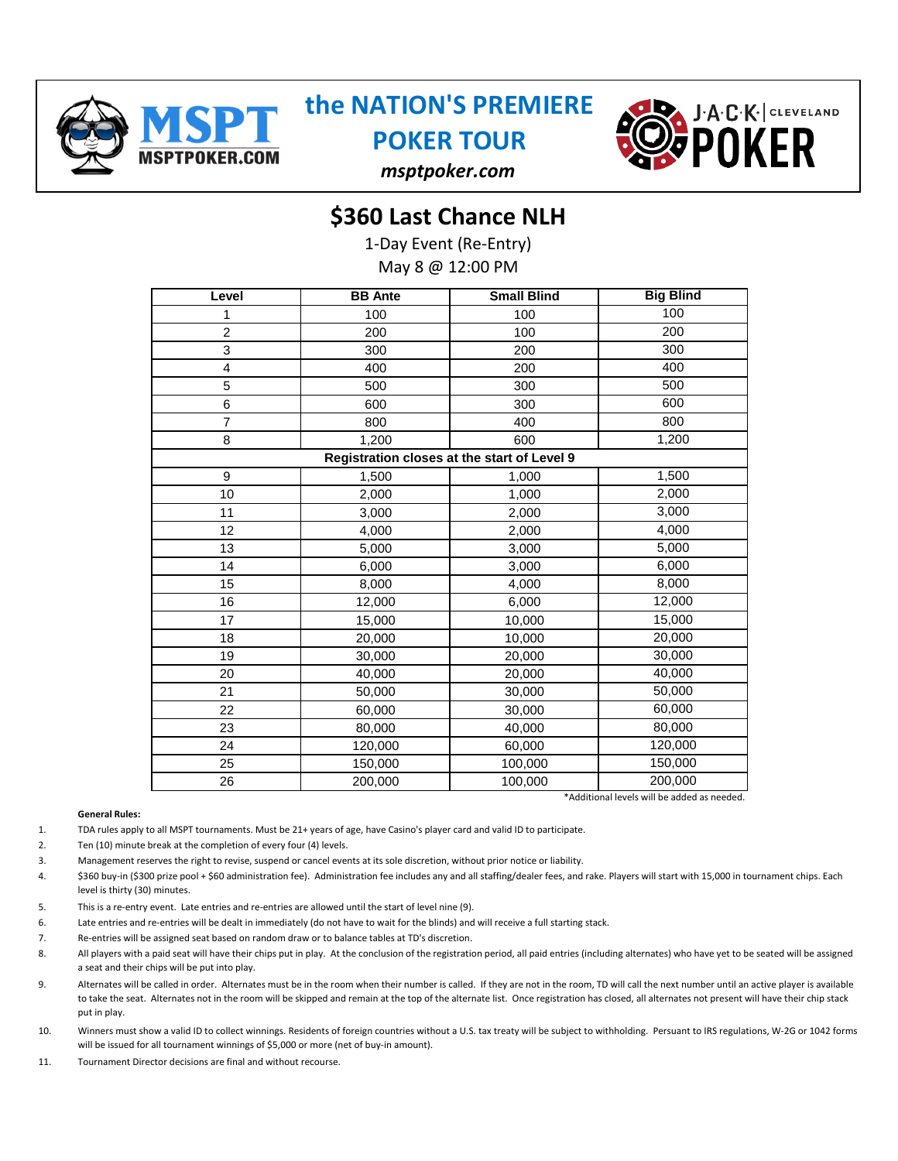

# **the NATION'S PREMIERE**

**POKER TOUR**



### *msptpoker.com*

### **\$360 Last Chance NLH**

1-Day Event (Re-Entry) May 8 @ 12:00 PM

| Level          | <b>BB</b> Ante | <b>Small Blind</b>                          | <b>Big Blind</b>                            |
|----------------|----------------|---------------------------------------------|---------------------------------------------|
| 1              | 100            | 100                                         | 100                                         |
| $\overline{c}$ | 200            | 100                                         | 200                                         |
| 3              | 300            | 200                                         | 300                                         |
| 4              | 400            | 200                                         | 400                                         |
| 5              | 500            | 300                                         | 500                                         |
| 6              | 600            | 300                                         | 600                                         |
| 7              | 800            | 400                                         | 800                                         |
| 8              | 1,200          | 600                                         | 1,200                                       |
|                |                | Registration closes at the start of Level 9 |                                             |
| 9              | 1,500          | 1,000                                       | 1,500                                       |
| 10             | 2,000          | 1,000                                       | 2,000                                       |
| 11             | 3,000          | 2,000                                       | 3,000                                       |
| 12             | 4,000          | 2,000                                       | 4,000                                       |
| 13             | 5,000          | 3,000                                       | 5,000                                       |
| 14             | 6,000          | 3,000                                       | 6,000                                       |
| 15             | 8,000          | 4,000                                       | 8,000                                       |
| 16             | 12,000         | 6,000                                       | 12,000                                      |
| 17             | 15,000         | 10,000                                      | 15,000                                      |
| 18             | 20,000         | 10,000                                      | 20,000                                      |
| 19             | 30,000         | 20,000                                      | 30,000                                      |
| 20             | 40,000         | 20,000                                      | 40,000                                      |
| 21             | 50,000         | 30,000                                      | 50,000                                      |
| 22             | 60,000         | 30,000                                      | 60,000                                      |
| 23             | 80,000         | 40,000                                      | 80,000                                      |
| 24             | 120,000        | 60,000                                      | 120,000                                     |
| 25             | 150,000        | 100,000                                     | 150,000                                     |
| 26             | 200,000        | 100,000                                     | 200,000                                     |
|                |                |                                             | *Additional levels will be added as needed. |

#### **General Rules:**

1. TDA rules apply to all MSPT tournaments. Must be 21+ years of age, have Casino's player card and valid ID to participate.

- $\mathcal{L}$ Ten (10) minute break at the completion of every four (4) levels.
- 3. Management reserves the right to revise, suspend or cancel events at its sole discretion, without prior notice or liability.
- 4. \$360 buy-in (\$300 prize pool + \$60 administration fee). Administration fee includes any and all staffing/dealer fees, and rake. Players will start with 15,000 in tournament chips. Each level is thirty (30) minutes.
- 5. This is a re-entry event. Late entries and re-entries are allowed until the start of level nine (9).
- 6. Late entries and re-entries will be dealt in immediately (do not have to wait for the blinds) and will receive a full starting stack.
- 7. Re-entries will be assigned seat based on random draw or to balance tables at TD's discretion.
- 8. All players with a paid seat will have their chips put in play. At the conclusion of the registration period, all paid entries (including alternates) who have yet to be seated will be assigned a seat and their chips will be put into play.
- 9. Alternates will be called in order. Alternates must be in the room when their number is called. If they are not in the room, TD will call the next number until an active player is available to take the seat. Alternates not in the room will be skipped and remain at the top of the alternate list. Once registration has closed, all alternates not present will have their chip stack put in play.
- 10. Winners must show a valid ID to collect winnings. Residents of foreign countries without a U.S. tax treaty will be subject to withholding. Persuant to IRS regulations, W-2G or 1042 forms will be issued for all tournament winnings of \$5,000 or more (net of buy-in amount).
- 11. Tournament Director decisions are final and without recourse.